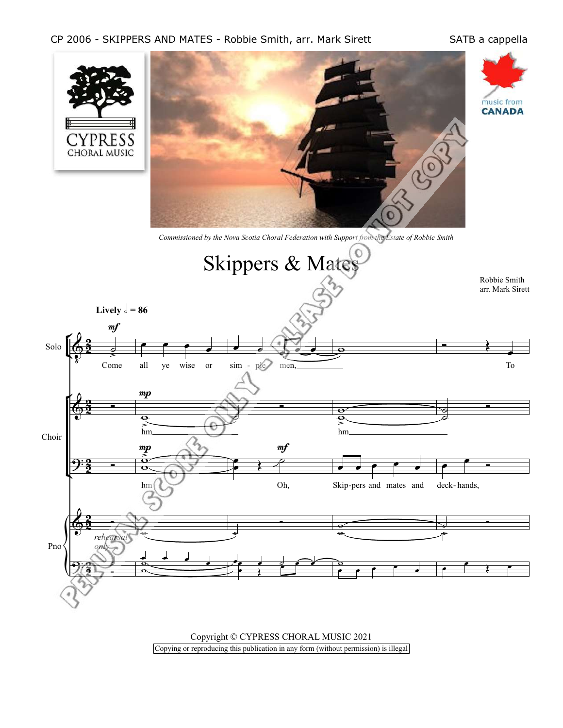## CP 2006 - SKIPPERS AND MATES - Robbie Smith, arr. Mark Sirett SATB a cappella

music from **CANADA** 









Copyright © CYPRESS CHORAL MUSIC 2021 Copying or reproducing this publication in any form (without permission) is illegal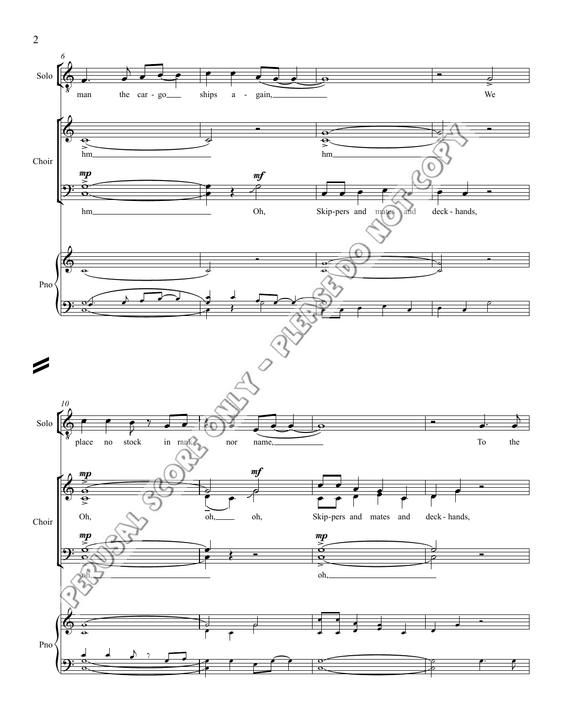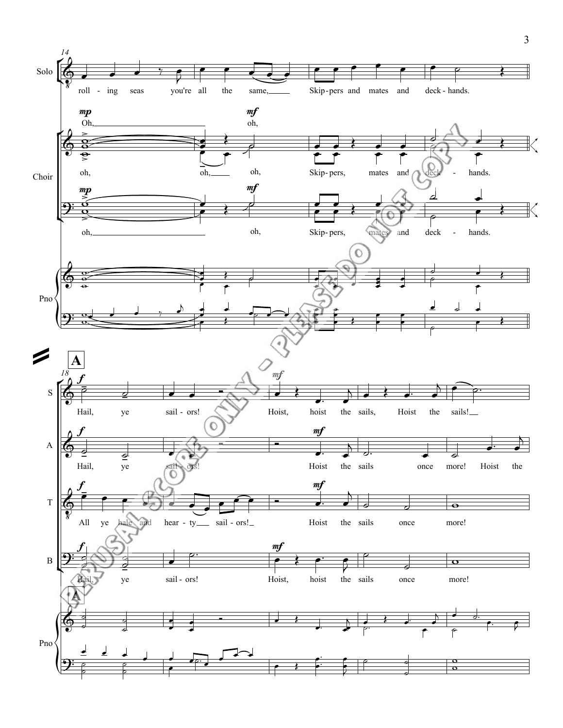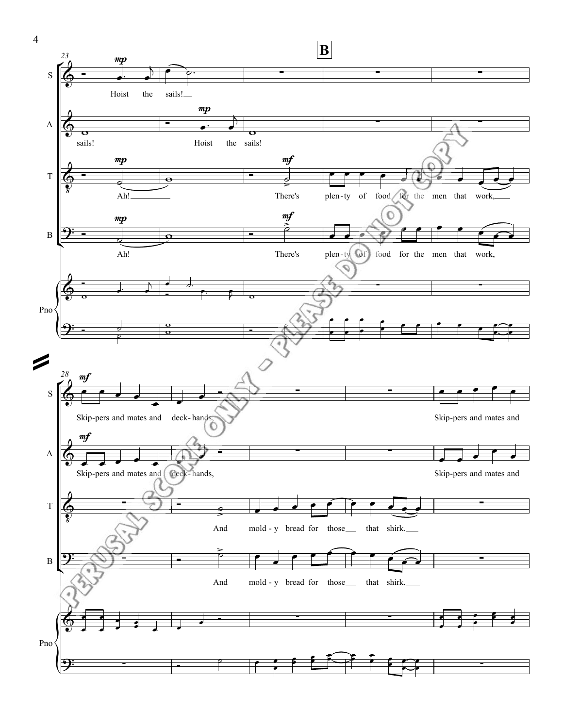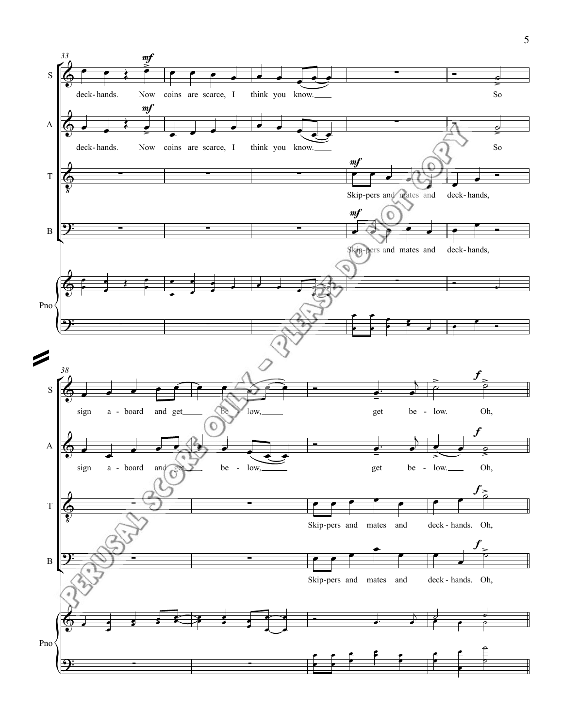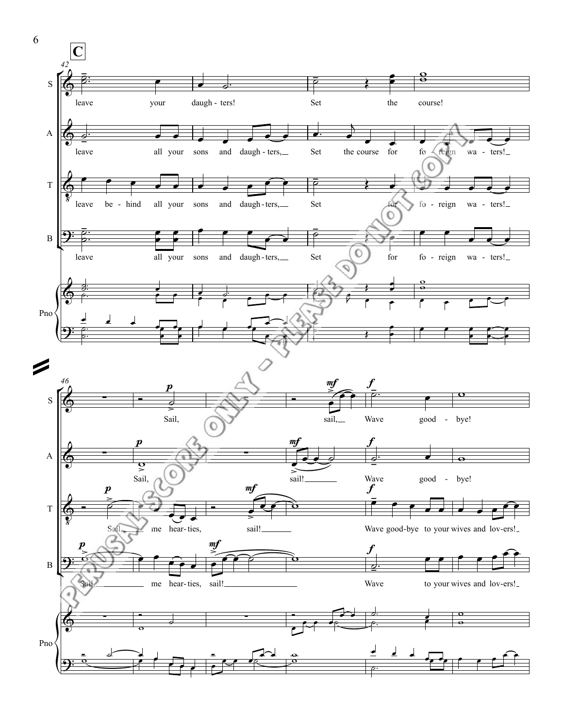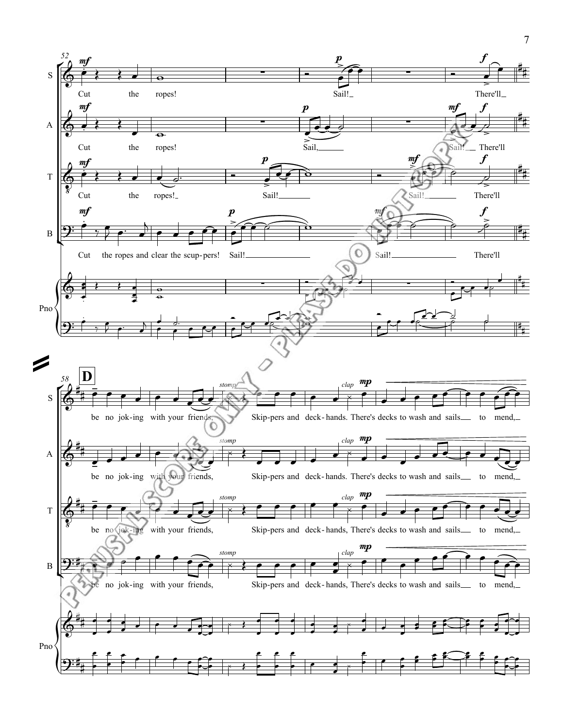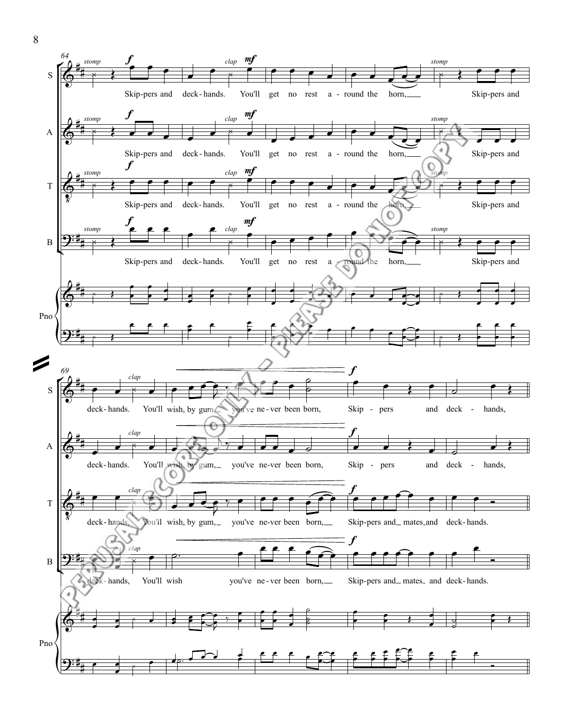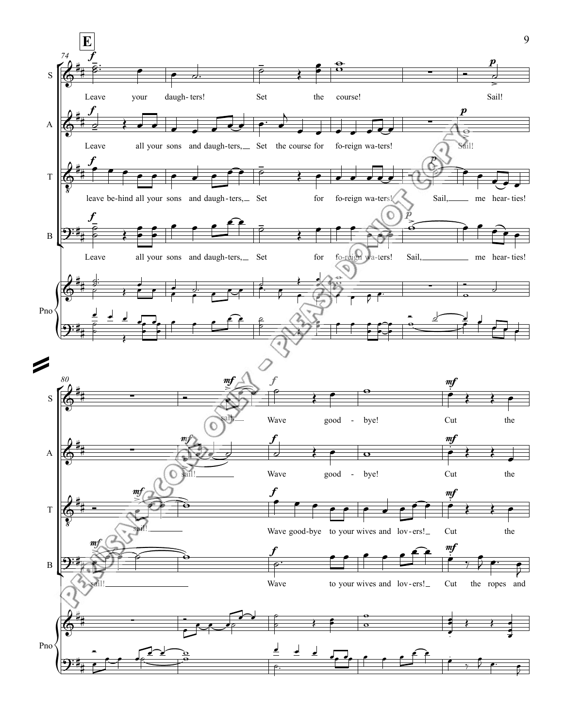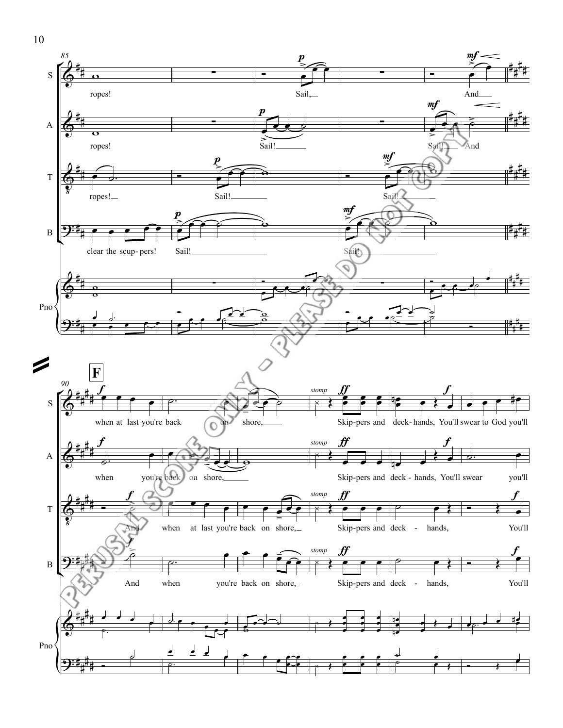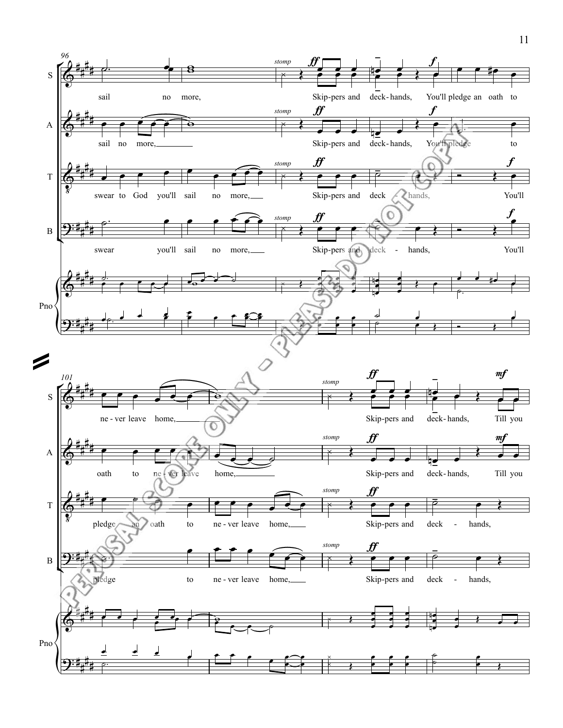